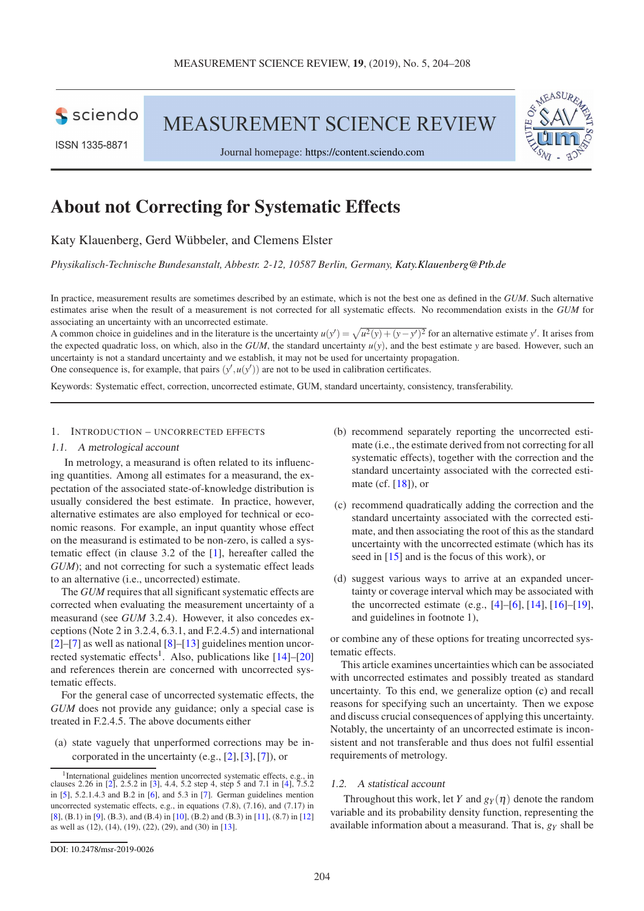**S** sciendo

**ISSN 1335-8871** 

MEASUREMENT SCIENCE REVIEW





Journal homepage: [https://content.sciendo.com](https://content.sciendo.com/view/journals/msr/msr-overview.xml)

# About not Correcting for Systematic Effects

# Katy Klauenberg, Gerd Wübbeler, and Clemens Elster

*Physikalisch-Technische Bundesanstalt, Abbestr. 2-12, 10587 Berlin, Germany, [Katy.Klauenberg@Ptb.de](mailto:Katy.Klauenberg@Ptb.de)*

In practice, measurement results are sometimes described by an estimate, which is not the best one as defined in the *GUM*. Such alternative estimates arise when the result of a measurement is not corrected for all systematic effects. No recommendation exists in the *GUM* for associating an uncertainty with an uncorrected estimate.

A common choice in guidelines and in the literature is the uncertainty  $u(y') = \sqrt{u^2(y) + (y - y')^2}$  for an alternative estimate *y'*. It arises from the expected quadratic loss, on which, also in the *GUM*, the standard uncertainty  $u(y)$ , and the best estimate *y* are based. However, such an uncertainty is not a standard uncertainty and we establish, it may not be used for uncertainty propagation. One consequence is, for example, that pairs  $(y', u(y'))$  are not to be used in calibration certificates.

Keywords: Systematic effect, correction, uncorrected estimate, GUM, standard uncertainty, consistency, transferability.

# 1. INTRODUCTION – UNCORRECTED EFFECTS

## 1.1. <sup>A</sup> metrological account

In metrology, a measurand is often related to its influencing quantities. Among all estimates for a measurand, the expectation of the associated state-of-knowledge distribution is usually considered the best estimate. In practice, however, alternative estimates are also employed for technical or economic reasons. For example, an input quantity whose effect on the measurand is estimated to be non-zero, is called a systematic effect (in clause 3.2 of the [\[1\]](#page-3-0), hereafter called the *GUM*); and not correcting for such a systematic effect leads to an alternative (i.e., uncorrected) estimate.

The *GUM* requires that all significant systematic effects are corrected when evaluating the measurement uncertainty of a measurand (see *GUM* 3.2.4). However, it also concedes exceptions (Note 2 in 3.2.4, 6.3.1, and F.2.4.5) and international  $[2]-[7]$  $[2]-[7]$  $[2]-[7]$  as well as national  $[8]-[13]$  $[8]-[13]$  $[8]-[13]$  guidelines mention uncor-rected systematic effects<sup>[1](#page-0-0)</sup>. Also, publications like [\[14\]](#page-3-5)–[\[20\]](#page-4-0) and references therein are concerned with uncorrected systematic effects.

For the general case of uncorrected systematic effects, the *GUM* does not provide any guidance; only a special case is treated in F.2.4.5. The above documents either

(a) state vaguely that unperformed corrections may be in corporated in the uncertainty (e.g., [\[2\]](#page-3-1),[\[3\],](#page-3-6)[\[7\]](#page-3-2)), or

- <span id="page-0-1"></span>(c) recommend quadratically adding the correction and the standard uncertainty associated with the corrected estimate, and then associating the root of this as the standard uncertainty with the uncorrected estimate (which has its seed in [\[15\]](#page-3-14) and is the focus of this work), or
- (d) suggest various ways to arrive at an expanded uncertainty or coverage interval which may be associated with the uncorrected estimate (e.g.,  $[4]$ – $[6]$ ,  $[14]$ ,  $[16]$ – $[19]$ , and guidelines in footnote 1),

or combine any of these options for treating uncorrected systematic effects.

This article examines uncertainties which can be associated with uncorrected estimates and possibly treated as standard uncertainty. To this end, we generalize option [\(c\)](#page-0-1) and recall reasons for specifying such an uncertainty. Then we expose and discuss crucial consequences of applying this uncertainty. Notably, the uncertainty of an uncorrected estimate is inconsistent and not transferable and thus does not fulfil essential requirements of metrology.

## 1.2. <sup>A</sup> statistical account

Throughout this work, let *Y* and  $g_Y(\eta)$  denote the random variable and its probability density function, representing the available information about a measurand. That is, *g<sup>Y</sup>* shall be

<span id="page-0-0"></span><sup>1</sup> International guidelines mention uncorrected systematic effects, e.g., in clauses 2.26 in [\[2\],](#page-3-1) 2.5.2 in [\[3\],](#page-3-6) 4.4, 5.2 step 4, step 5 and 7.1 in [\[4\],](#page-3-7) 7.5.2 in [\[5\],](#page-3-8) 5.2.1.4.3 and B.2 in [\[6\],](#page-3-9) and 5.3 in [\[7\].](#page-3-2) German guidelines mention uncorrected systematic effects, e.g., in equations (7.8), (7.16), and (7.17) in [\[8\]](#page-3-3), (B.1) in [\[9\],](#page-3-10) (B.3), and (B.4) in [\[10\],](#page-3-11) (B.2) and (B.3) in [\[11\]](#page-3-12), (8.7) in [\[12\]](#page-3-13) as well as (12), (14), (19), (22), (29), and (30) in [\[13\]](#page-3-4).

<sup>(</sup>b) recommend separately reporting the uncorrected estimate (i.e., the estimate derived from not correcting for all systematic effects), together with the correction and the standard uncertainty associated with the corrected estimate (cf. [\[18\]](#page-4-1)), or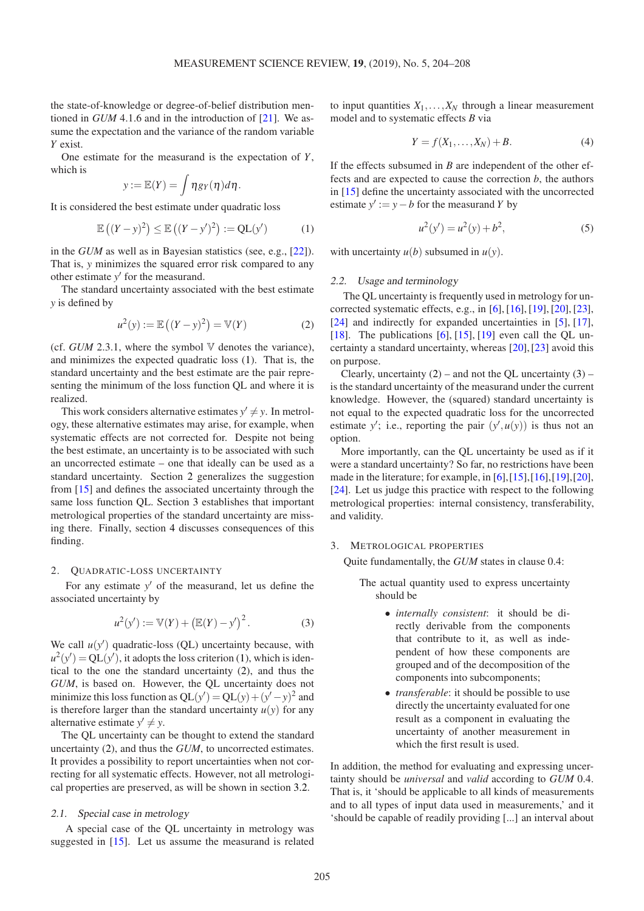the state-of-knowledge or degree-of-belief distribution mentioned in *GUM* 4.1.6 and in the introduction of [\[21\]](#page-4-3). We assume the expectation and the variance of the random variable *Y* exist.

One estimate for the measurand is the expectation of *Y*, which is

$$
y:=\mathbb{E}(Y)=\int \eta g_Y(\eta)d\eta.
$$

It is considered the best estimate under quadratic loss

$$
\mathbb{E}\left((Y-y)^2\right) \le \mathbb{E}\left((Y-y')^2\right) := \mathbf{Q} \mathbf{L}(y') \tag{1}
$$

in the *GUM* as well as in Bayesian statistics (see, e.g., [\[22\]](#page-4-4)). That is, *y* minimizes the squared error risk compared to any other estimate *y* ′ for the measurand.

The standard uncertainty associated with the best estimate *y* is defined by

<span id="page-1-3"></span>
$$
u^{2}(y) := \mathbb{E}\left((Y - y)^{2}\right) = \mathbb{V}(Y)
$$
 (2)

(cf.  $GUM$  2.3.1, where the symbol  $V$  denotes the variance), and minimizes the expected quadratic loss [\(1\)](#page-1-0). That is, the standard uncertainty and the best estimate are the pair representing the minimum of the loss function QL and where it is realized.

This work considers alternative estimates  $y' \neq y$ . In metrology, these alternative estimates may arise, for example, when systematic effects are not corrected for. Despite not being the best estimate, an uncertainty is to be associated with such an uncorrected estimate – one that ideally can be used as a standard uncertainty. Section [2](#page-1-1) generalizes the suggestion from [\[15\]](#page-3-14) and defines the associated uncertainty through the same loss function QL. Section [3](#page-1-2) establishes that important metrological properties of the standard uncertainty are missing there. Finally, section [4](#page-3-16) discusses consequences of this finding.

## <span id="page-1-1"></span>2. QUADRATIC-LOSS UNCERTAINTY

For any estimate y' of the measurand, let us define the associated uncertainty by

<span id="page-1-4"></span>
$$
u^{2}(y') := \mathbb{V}(Y) + (\mathbb{E}(Y) - y')^{2}.
$$
 (3)

We call  $u(y')$  quadratic-loss (QL) uncertainty because, with  $u^2(y') = QL(y')$ , it adopts the loss criterion [\(1\)](#page-1-0), which is identical to the one the standard uncertainty [\(2\)](#page-1-3), and thus the *GUM*, is based on. However, the QL uncertainty does not minimize this loss function as  $QL(y') = QL(y) + (y'-y)^2$  and is therefore larger than the standard uncertainty  $u(y)$  for any alternative estimate  $y' \neq y$ .

The QL uncertainty can be thought to extend the standard uncertainty [\(2\)](#page-1-3), and thus the *GUM*, to uncorrected estimates. It provides a possibility to report uncertainties when not correcting for all systematic effects. However, not all metrological properties are preserved, as will be shown in section [3.2.](#page-2-0)

# 2.1. Special case in metrology

A special case of the QL uncertainty in metrology was suggested in [\[15\]](#page-3-14). Let us assume the measurand is related to input quantities  $X_1, \ldots, X_N$  through a linear measurement model and to systematic effects *B* via

$$
Y = f(X_1, \dots, X_N) + B. \tag{4}
$$

<span id="page-1-0"></span>If the effects subsumed in *B* are independent of the other effects and are expected to cause the correction *b*, the authors in [\[15\]](#page-3-14) define the uncertainty associated with the uncorrected estimate  $y' := y - b$  for the measurand *Y* by

$$
u^2(y') = u^2(y) + b^2,\tag{5}
$$

with uncertainty  $u(b)$  subsumed in  $u(y)$ .

#### 2.2. Usage and terminology

The QL uncertainty is frequently used in metrology for uncorrected systematic effects, e.g., in  $[6]$ ,  $[16]$ ,  $[19]$ ,  $[20]$ ,  $[23]$ , [\[24\]](#page-4-6) and indirectly for expanded uncertainties in [\[5\]](#page-3-8), [\[17\]](#page-3-17), [\[18\]](#page-4-1). The publications [\[6\]](#page-3-9), [\[15\]](#page-3-14), [\[19\]](#page-4-2) even call the QL uncertainty a standard uncertainty, whereas [\[20\]](#page-4-0), [\[23\]](#page-4-5) avoid this on purpose.

Clearly, uncertainty  $(2)$  – and not the QL uncertainty  $(3)$  – is the standard uncertainty of the measurand under the current knowledge. However, the (squared) standard uncertainty is not equal to the expected quadratic loss for the uncorrected estimate y'; i.e., reporting the pair  $(y', u(y))$  is thus not an option.

More importantly, can the QL uncertainty be used as if it were a standard uncertainty? So far, no restrictions have been made in the literature; for example, in [\[6\]](#page-3-9),[\[15\]](#page-3-14),[\[16\]](#page-3-15),[\[19\]](#page-4-2),[\[20\]](#page-4-0), [\[24\]](#page-4-6). Let us judge this practice with respect to the following metrological properties: internal consistency, transferability, and validity.

#### <span id="page-1-2"></span>3. METROLOGICAL PROPERTIES

Quite fundamentally, the *GUM* states in clause 0.4:

The actual quantity used to express uncertainty should be

- *internally consistent*: it should be directly derivable from the components that contribute to it, as well as independent of how these components are grouped and of the decomposition of the components into subcomponents;
- *transferable*: it should be possible to use directly the uncertainty evaluated for one result as a component in evaluating the uncertainty of another measurement in which the first result is used.

In addition, the method for evaluating and expressing uncertainty should be *universal* and *valid* according to *GUM* 0.4. That is, it 'should be applicable to all kinds of measurements and to all types of input data used in measurements,' and it 'should be capable of readily providing [...] an interval about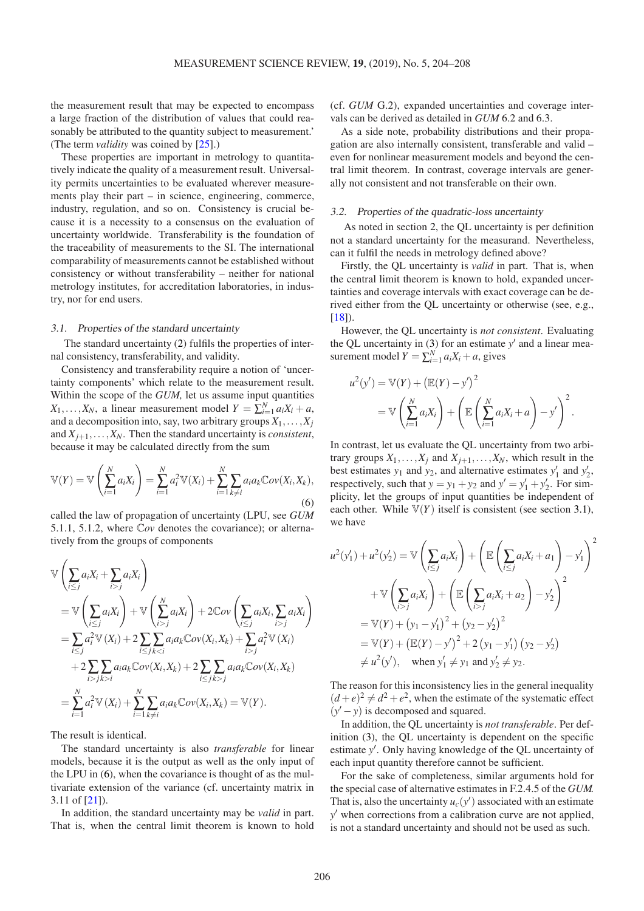the measurement result that may be expected to encompass a large fraction of the distribution of values that could reasonably be attributed to the quantity subject to measurement.' (The term *validity* was coined by [\[25\]](#page-4-7).)

These properties are important in metrology to quantitatively indicate the quality of a measurement result. Universality permits uncertainties to be evaluated wherever measurements play their part – in science, engineering, commerce, industry, regulation, and so on. Consistency is crucial because it is a necessity to a consensus on the evaluation of uncertainty worldwide. Transferability is the foundation of the traceability of measurements to the SI. The international comparability of measurements cannot be established without consistency or without transferability – neither for national metrology institutes, for accreditation laboratories, in industry, nor for end users.

## <span id="page-2-2"></span>3.1. Properties of the standard uncertainty

The standard uncertainty [\(2\)](#page-1-3) fulfils the properties of internal consistency, transferability, and validity.

Consistency and transferability require a notion of 'uncertainty components' which relate to the measurement result. Within the scope of the *GUM*, let us assume input quantities *X*<sub>1</sub>,...,*X*<sub>*N*</sub>, a linear measurement model  $Y = \sum_{i=1}^{N} a_i X_i + a$ , and a decomposition into, say, two arbitrary groups  $X_1, \ldots, X_j$ and  $X_{j+1}, \ldots, X_N$ . Then the standard uncertainty is *consistent*, because it may be calculated directly from the sum

$$
\mathbb{V}(Y) = \mathbb{V}\left(\sum_{i=1}^{N} a_i X_i\right) = \sum_{i=1}^{N} a_i^2 \mathbb{V}(X_i) + \sum_{i=1}^{N} \sum_{k \neq i} a_i a_k \mathbb{C}ov(X_i, X_k),
$$
\n(6)

called the law of propagation of uncertainty (LPU, see *GUM* 5.1.1, 5.1.2, where C*ov* denotes the covariance); or alternatively from the groups of components

$$
\begin{split}\n&\forall \left(\sum_{i\leq j} a_i X_i + \sum_{i>j} a_i X_i\right) \\
&= \mathbb{V}\left(\sum_{i\leq j} a_i X_i\right) + \mathbb{V}\left(\sum_{i>j} a_i X_i\right) + 2 \mathbb{C}ov\left(\sum_{i\leq j} a_i X_i, \sum_{i>j} a_i X_i\right) \\
&= \sum_{i\leq j} a_i^2 \mathbb{V}\left(X_i\right) + 2 \sum_{i>j} \sum_{kj} a_i^2 \mathbb{V}\left(X_i\right) \\
&\quad + 2 \sum_{i>j} \sum_{k>i} a_i a_k \mathbb{C}ov(X_i, X_k) + 2 \sum_{ij} a_i a_k \mathbb{C}ov(X_i, X_k) \\
&= \sum_{i=1}^N a_i^2 \mathbb{V}\left(X_i\right) + \sum_{i=1}^N \sum_{k\neq i} a_i a_k \mathbb{C}ov(X_i, X_k) = \mathbb{V}(Y).\n\end{split}
$$

The result is identical.

The standard uncertainty is also *transferable* for linear models, because it is the output as well as the only input of the LPU in [\(6\)](#page-2-1), when the covariance is thought of as the multivariate extension of the variance (cf. uncertainty matrix in 3.11 of [\[21\]](#page-4-3)).

In addition, the standard uncertainty may be *valid* in part. That is, when the central limit theorem is known to hold

(cf. *GUM* G.2), expanded uncertainties and coverage intervals can be derived as detailed in *GUM* 6.2 and 6.3.

As a side note, probability distributions and their propagation are also internally consistent, transferable and valid – even for nonlinear measurement models and beyond the central limit theorem. In contrast, coverage intervals are generally not consistent and not transferable on their own.

#### <span id="page-2-0"></span>3.2. Properties of the quadratic-loss uncertainty

As noted in section [2,](#page-1-1) the QL uncertainty is per definition not a standard uncertainty for the measurand. Nevertheless, can it fulfil the needs in metrology defined above?

Firstly, the QL uncertainty is *valid* in part. That is, when the central limit theorem is known to hold, expanded uncertainties and coverage intervals with exact coverage can be derived either from the QL uncertainty or otherwise (see, e.g.,  $[18]$ .

However, the QL uncertainty is *not consistent*. Evaluating the QL uncertainty in  $(3)$  for an estimate  $y'$  and a linear measurement model  $Y = \sum_{i=1}^{N} a_i X_i + a$ , gives

$$
u2(y') = \mathbb{V}(Y) + (\mathbb{E}(Y) - y')2
$$
  
=  $\mathbb{V}\left(\sum_{i=1}^{N} a_i X_i\right) + \left(\mathbb{E}\left(\sum_{i=1}^{N} a_i X_i + a\right) - y'\right)^{2}$ .

<span id="page-2-1"></span>In contrast, let us evaluate the QL uncertainty from two arbitrary groups  $X_1, \ldots, X_j$  and  $X_{j+1}, \ldots, X_N$ , which result in the best estimates  $y_1$  and  $y_2$ , and alternative estimates  $y'_1$  and  $y'_2$ , respectively, such that  $y = y_1 + y_2$  and  $y' = y'_1 + y'_2$ . For simplicity, let the groups of input quantities be independent of each other. While  $V(Y)$  itself is consistent (see section [3.1\)](#page-2-2), we have

$$
u^{2}(y'_{1}) + u^{2}(y'_{2}) = \mathbb{V}\left(\sum_{i \leq j} a_{i}X_{i}\right) + \left(\mathbb{E}\left(\sum_{i \leq j} a_{i}X_{i} + a_{1}\right) - y'_{1}\right)^{2}
$$
  
+  $\mathbb{V}\left(\sum_{i > j} a_{i}X_{i}\right) + \left(\mathbb{E}\left(\sum_{i > j} a_{i}X_{i} + a_{2}\right) - y'_{2}\right)^{2}$   
=  $\mathbb{V}(Y) + (y_{1} - y'_{1})^{2} + (y_{2} - y'_{2})^{2}$   
=  $\mathbb{V}(Y) + (\mathbb{E}(Y) - y')^{2} + 2(y_{1} - y'_{1})(y_{2} - y'_{2})$   
 $\neq u^{2}(y'), \text{ when } y'_{1} \neq y_{1} \text{ and } y'_{2} \neq y_{2}.$ 

The reason for this inconsistency lies in the general inequality  $(d+e)^2 \neq d^2 + e^2$ , when the estimate of the systematic effect  $(y'-y)$  is decomposed and squared.

In addition, the QL uncertainty is *not transferable*. Per definition [\(3\)](#page-1-4), the QL uncertainty is dependent on the specific estimate y'. Only having knowledge of the QL uncertainty of each input quantity therefore cannot be sufficient.

For the sake of completeness, similar arguments hold for the special case of alternative estimates in F.2.4.5 of the *GUM*. That is, also the uncertainty  $u_c(y')$  associated with an estimate *y* ′ when corrections from a calibration curve are not applied, is not a standard uncertainty and should not be used as such.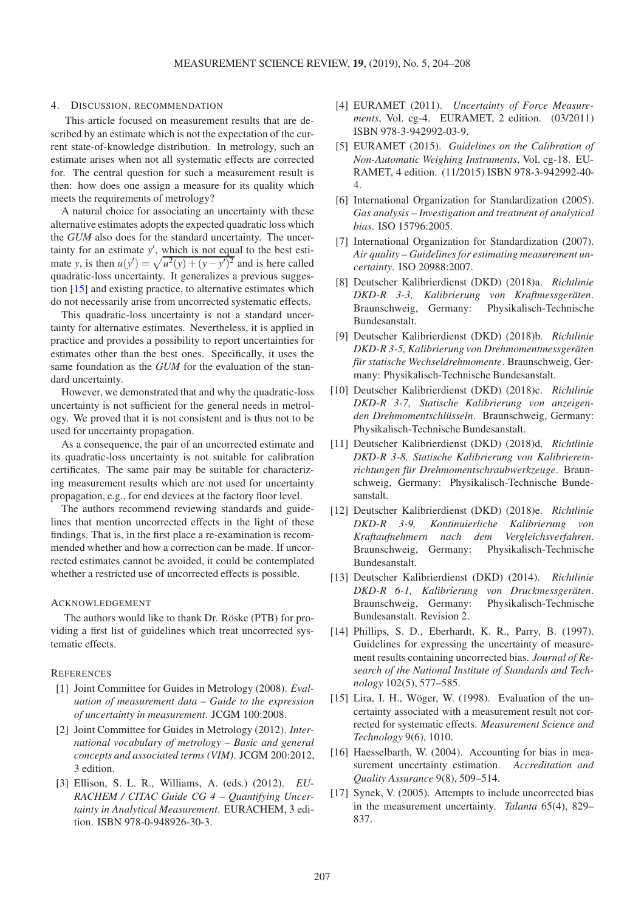#### <span id="page-3-16"></span>4. DISCUSSION, RECOMMENDATION

This article focused on measurement results that are described by an estimate which is not the expectation of the current state-of-knowledge distribution. In metrology, such an estimate arises when not all systematic effects are corrected for. The central question for such a measurement result is then: how does one assign a measure for its quality which meets the requirements of metrology?

A natural choice for associating an uncertainty with these alternative estimates adopts the expected quadratic loss which the *GUM* also does for the standard uncertainty. The uncertainty for an estimate y', which is not equal to the best estimate *y*, is then  $u(y') = \sqrt{u^2(y) + (y - y')^2}$  and is here called quadratic-loss uncertainty. It generalizes a previous suggestion [\[15\]](#page-3-14) and existing practice, to alternative estimates which do not necessarily arise from uncorrected systematic effects.

This quadratic-loss uncertainty is not a standard uncertainty for alternative estimates. Nevertheless, it is applied in practice and provides a possibility to report uncertainties for estimates other than the best ones. Specifically, it uses the same foundation as the *GUM* for the evaluation of the standard uncertainty.

However, we demonstrated that and why the quadratic-loss uncertainty is not sufficient for the general needs in metrology. We proved that it is not consistent and is thus not to be used for uncertainty propagation.

As a consequence, the pair of an uncorrected estimate and its quadratic-loss uncertainty is not suitable for calibration certificates. The same pair may be suitable for characterizing measurement results which are not used for uncertainty propagation, e.g., for end devices at the factory floor level.

The authors recommend reviewing standards and guidelines that mention uncorrected effects in the light of these findings. That is, in the first place a re-examination is recommended whether and how a correction can be made. If uncorrected estimates cannot be avoided, it could be contemplated whether a restricted use of uncorrected effects is possible.

#### ACKNOWLEDGEMENT

The authors would like to thank Dr. Röske (PTB) for providing a first list of guidelines which treat uncorrected systematic effects.

# <span id="page-3-0"></span>**REFERENCES**

- [1] Joint Committee for Guides in Metrology (2008). *Evaluation of measurement data – Guide to the expression of uncertainty in measurement*. JCGM 100:2008.
- <span id="page-3-1"></span>[2] Joint Committee for Guides in Metrology (2012). *International vocabulary of metrology – Basic and general concepts and associated terms (VIM)*. JCGM 200:2012, 3 edition.
- <span id="page-3-6"></span>[3] Ellison, S. L. R., Williams, A. (eds.) (2012). *EU-RACHEM / CITAC Guide CG 4 – Quantifying Uncertainty in Analytical Measurement*. EURACHEM, 3 edition. ISBN 978-0-948926-30-3.
- <span id="page-3-7"></span>[4] EURAMET (2011). *Uncertainty of Force Measurements*, Vol. cg-4. EURAMET, 2 edition. (03/2011) ISBN 978-3-942992-03-9.
- <span id="page-3-8"></span>[5] EURAMET (2015). *Guidelines on the Calibration of Non-Automatic Weighing Instruments*, Vol. cg-18. EU-RAMET, 4 edition. (11/2015) ISBN 978-3-942992-40- 4.
- <span id="page-3-9"></span>[6] International Organization for Standardization (2005). *Gas analysis – Investigation and treatment of analytical bias*. ISO 15796:2005.
- <span id="page-3-2"></span>[7] International Organization for Standardization (2007). *Air quality – Guidelines for estimating measurement uncertainty*. ISO 20988:2007.
- <span id="page-3-3"></span>[8] Deutscher Kalibrierdienst (DKD) (2018)a. *Richtlinie DKD-R 3-3, Kalibrierung von Kraftmessgeräten*. Braunschweig, Germany: Physikalisch-Technische Bundesanstalt.
- <span id="page-3-10"></span>[9] Deutscher Kalibrierdienst (DKD) (2018)b. *Richtlinie DKD-R 3-5, Kalibrierung von Drehmomentmessgeräten für statische Wechseldrehmomente*. Braunschweig, Germany: Physikalisch-Technische Bundesanstalt.
- <span id="page-3-11"></span>[10] Deutscher Kalibrierdienst (DKD) (2018)c. *Richtlinie DKD-R 3-7, Statische Kalibrierung von anzeigenden Drehmomentschlüsseln*. Braunschweig, Germany: Physikalisch-Technische Bundesanstalt.
- <span id="page-3-12"></span>[11] Deutscher Kalibrierdienst (DKD) (2018)d. *Richtlinie DKD-R 3-8, Statische Kalibrierung von Kalibriereinrichtungen für Drehmomentschraubwerkzeuge*. Braunschweig, Germany: Physikalisch-Technische Bundesanstalt.
- <span id="page-3-13"></span>[12] Deutscher Kalibrierdienst (DKD) (2018)e. *Richtlinie DKD-R 3-9, Kontinuierliche Kalibrierung von Kraftaufnehmern nach dem Vergleichsverfahren*. Braunschweig, Germany: Physikalisch-Technische Bundesanstalt.
- <span id="page-3-4"></span>[13] Deutscher Kalibrierdienst (DKD) (2014). *Richtlinie DKD-R 6-1, Kalibrierung von Druckmessgeräten*. Braunschweig, Germany: Physikalisch-Technische Bundesanstalt. Revision 2.
- <span id="page-3-5"></span>[14] Phillips, S. D., Eberhardt, K. R., Parry, B. (1997). Guidelines for expressing the uncertainty of measurement results containing uncorrected bias. *Journal of Research of the National Institute of Standards and Technology* 102(5), 577–585.
- <span id="page-3-14"></span>[15] Lira, I. H., Wöger, W. (1998). Evaluation of the uncertainty associated with a measurement result not corrected for systematic effects. *Measurement Science and Technology* 9(6), 1010.
- <span id="page-3-15"></span>[16] Haesselbarth, W. (2004). Accounting for bias in measurement uncertainty estimation. *Accreditation and Quality Assurance* 9(8), 509–514.
- <span id="page-3-17"></span>[17] Synek, V. (2005). Attempts to include uncorrected bias in the measurement uncertainty. *Talanta* 65(4), 829– 837.